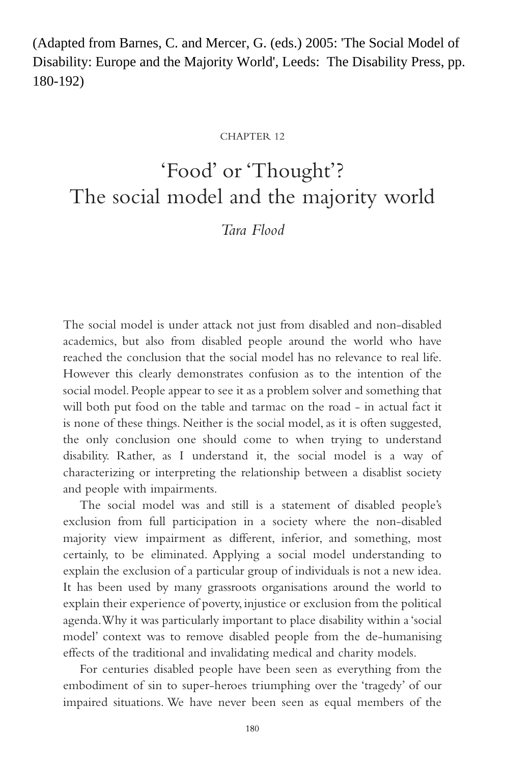(Adapted from Barnes, C. and Mercer, G. (eds.) 2005: 'The Social Model of Disability: Europe and the Majority World', Leeds: The Disability Press, pp. 180-192)

#### CHAPTER 12

# 'Food' or 'Thought'? The social model and the majority world

# *Tara Flood*

The social model is under attack not just from disabled and non-disabled academics, but also from disabled people around the world who have reached the conclusion that the social model has no relevance to real life. However this clearly demonstrates confusion as to the intention of the social model. People appear to see it as a problem solver and something that will both put food on the table and tarmac on the road - in actual fact it is none of these things. Neither is the social model, as it is often suggested, the only conclusion one should come to when trying to understand disability. Rather, as I understand it, the social model is a way of characterizing or interpreting the relationship between a disablist society and people with impairments.

The social model was and still is a statement of disabled people's exclusion from full participation in a society where the non-disabled majority view impairment as different, inferior, and something, most certainly, to be eliminated. Applying a social model understanding to explain the exclusion of a particular group of individuals is not a new idea. It has been used by many grassroots organisations around the world to explain their experience of poverty, injustice or exclusion from the political agenda.Why it was particularly important to place disability within a 'social model' context was to remove disabled people from the de-humanising effects of the traditional and invalidating medical and charity models.

For centuries disabled people have been seen as everything from the embodiment of sin to super-heroes triumphing over the 'tragedy' of our impaired situations. We have never been seen as equal members of the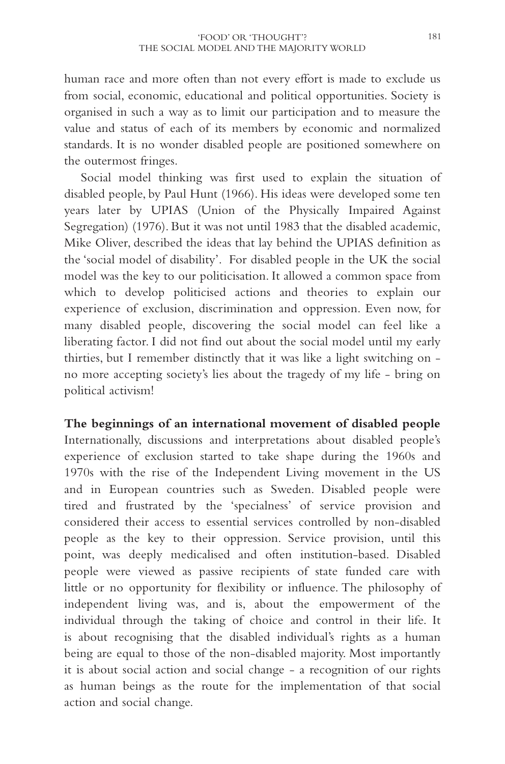human race and more often than not every effort is made to exclude us from social, economic, educational and political opportunities. Society is organised in such a way as to limit our participation and to measure the value and status of each of its members by economic and normalized standards. It is no wonder disabled people are positioned somewhere on the outermost fringes.

Social model thinking was first used to explain the situation of disabled people, by Paul Hunt (1966). His ideas were developed some ten years later by UPIAS (Union of the Physically Impaired Against Segregation) (1976). But it was not until 1983 that the disabled academic, Mike Oliver, described the ideas that lay behind the UPIAS definition as the 'social model of disability'. For disabled people in the UK the social model was the key to our politicisation. It allowed a common space from which to develop politicised actions and theories to explain our experience of exclusion, discrimination and oppression. Even now, for many disabled people, discovering the social model can feel like a liberating factor. I did not find out about the social model until my early thirties, but I remember distinctly that it was like a light switching on no more accepting society's lies about the tragedy of my life - bring on political activism!

# **The beginnings of an international movement of disabled people**

Internationally, discussions and interpretations about disabled people's experience of exclusion started to take shape during the 1960s and 1970s with the rise of the Independent Living movement in the US and in European countries such as Sweden. Disabled people were tired and frustrated by the 'specialness' of service provision and considered their access to essential services controlled by non-disabled people as the key to their oppression. Service provision, until this point, was deeply medicalised and often institution-based. Disabled people were viewed as passive recipients of state funded care with little or no opportunity for flexibility or influence. The philosophy of independent living was, and is, about the empowerment of the individual through the taking of choice and control in their life. It is about recognising that the disabled individual's rights as a human being are equal to those of the non-disabled majority. Most importantly it is about social action and social change - a recognition of our rights as human beings as the route for the implementation of that social action and social change.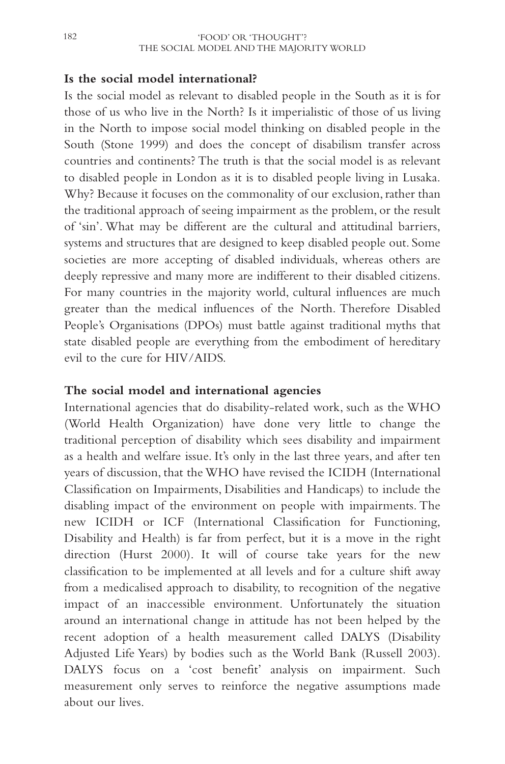# **Is the social model international?**

Is the social model as relevant to disabled people in the South as it is for those of us who live in the North? Is it imperialistic of those of us living in the North to impose social model thinking on disabled people in the South (Stone 1999) and does the concept of disabilism transfer across countries and continents? The truth is that the social model is as relevant to disabled people in London as it is to disabled people living in Lusaka. Why? Because it focuses on the commonality of our exclusion, rather than the traditional approach of seeing impairment as the problem, or the result of 'sin'. What may be different are the cultural and attitudinal barriers, systems and structures that are designed to keep disabled people out. Some societies are more accepting of disabled individuals, whereas others are deeply repressive and many more are indifferent to their disabled citizens. For many countries in the majority world, cultural influences are much greater than the medical influences of the North. Therefore Disabled People's Organisations (DPOs) must battle against traditional myths that state disabled people are everything from the embodiment of hereditary evil to the cure for HIV/AIDS.

#### **The social model and international agencies**

International agencies that do disability-related work, such as the WHO (World Health Organization) have done very little to change the traditional perception of disability which sees disability and impairment as a health and welfare issue. It's only in the last three years, and after ten years of discussion, that the WHO have revised the ICIDH (International Classification on Impairments, Disabilities and Handicaps) to include the disabling impact of the environment on people with impairments. The new ICIDH or ICF (International Classification for Functioning, Disability and Health) is far from perfect, but it is a move in the right direction (Hurst 2000). It will of course take years for the new classification to be implemented at all levels and for a culture shift away from a medicalised approach to disability, to recognition of the negative impact of an inaccessible environment. Unfortunately the situation around an international change in attitude has not been helped by the recent adoption of a health measurement called DALYS (Disability Adjusted Life Years) by bodies such as the World Bank (Russell 2003). DALYS focus on a 'cost benefit' analysis on impairment. Such measurement only serves to reinforce the negative assumptions made about our lives.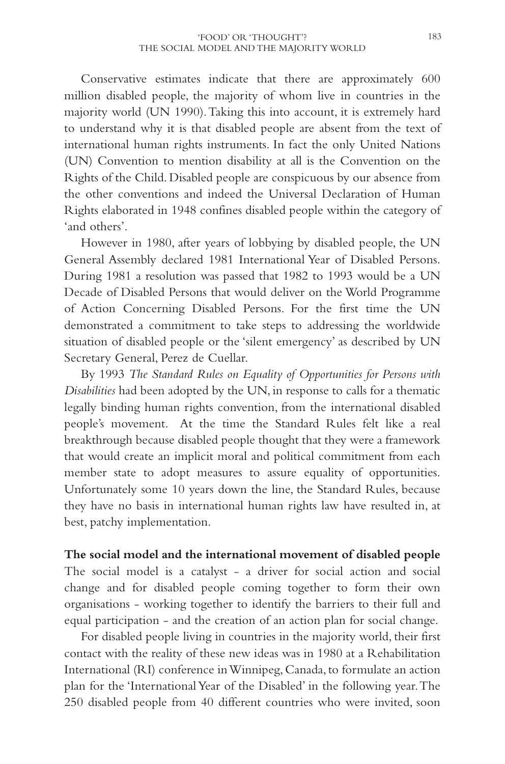Conservative estimates indicate that there are approximately 600 million disabled people, the majority of whom live in countries in the majority world (UN 1990).Taking this into account, it is extremely hard to understand why it is that disabled people are absent from the text of international human rights instruments. In fact the only United Nations (UN) Convention to mention disability at all is the Convention on the Rights of the Child. Disabled people are conspicuous by our absence from the other conventions and indeed the Universal Declaration of Human Rights elaborated in 1948 confines disabled people within the category of 'and others'.

However in 1980, after years of lobbying by disabled people, the UN General Assembly declared 1981 International Year of Disabled Persons. During 1981 a resolution was passed that 1982 to 1993 would be a UN Decade of Disabled Persons that would deliver on the World Programme of Action Concerning Disabled Persons. For the first time the UN demonstrated a commitment to take steps to addressing the worldwide situation of disabled people or the 'silent emergency' as described by UN Secretary General, Perez de Cuellar.

By 1993 *The Standard Rules on Equality of Opportunities for Persons with Disabilities* had been adopted by the UN, in response to calls for a thematic legally binding human rights convention, from the international disabled people's movement. At the time the Standard Rules felt like a real breakthrough because disabled people thought that they were a framework that would create an implicit moral and political commitment from each member state to adopt measures to assure equality of opportunities. Unfortunately some 10 years down the line, the Standard Rules, because they have no basis in international human rights law have resulted in, at best, patchy implementation.

**The social model and the international movement of disabled people** The social model is a catalyst - a driver for social action and social change and for disabled people coming together to form their own organisations - working together to identify the barriers to their full and equal participation - and the creation of an action plan for social change.

For disabled people living in countries in the majority world, their first contact with the reality of these new ideas was in 1980 at a Rehabilitation International (RI) conference in Winnipeg, Canada, to formulate an action plan for the 'International Year of the Disabled' in the following year.The 250 disabled people from 40 different countries who were invited, soon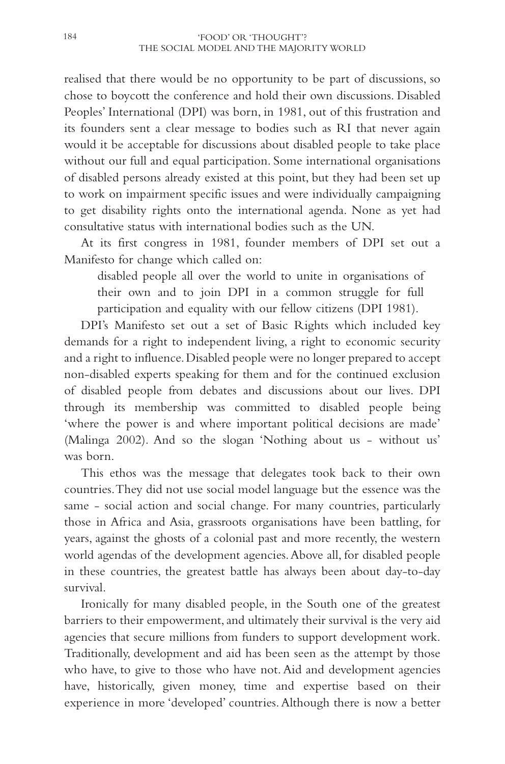realised that there would be no opportunity to be part of discussions, so chose to boycott the conference and hold their own discussions. Disabled Peoples' International (DPI) was born, in 1981, out of this frustration and its founders sent a clear message to bodies such as RI that never again would it be acceptable for discussions about disabled people to take place without our full and equal participation. Some international organisations of disabled persons already existed at this point, but they had been set up to work on impairment specific issues and were individually campaigning to get disability rights onto the international agenda. None as yet had consultative status with international bodies such as the UN.

At its first congress in 1981, founder members of DPI set out a Manifesto for change which called on:

disabled people all over the world to unite in organisations of their own and to join DPI in a common struggle for full participation and equality with our fellow citizens (DPI 1981).

DPI's Manifesto set out a set of Basic Rights which included key demands for a right to independent living, a right to economic security and a right to influence.Disabled people were no longer prepared to accept non-disabled experts speaking for them and for the continued exclusion of disabled people from debates and discussions about our lives. DPI through its membership was committed to disabled people being 'where the power is and where important political decisions are made' (Malinga 2002). And so the slogan 'Nothing about us - without us' was born.

This ethos was the message that delegates took back to their own countries.They did not use social model language but the essence was the same - social action and social change. For many countries, particularly those in Africa and Asia, grassroots organisations have been battling, for years, against the ghosts of a colonial past and more recently, the western world agendas of the development agencies.Above all, for disabled people in these countries, the greatest battle has always been about day-to-day survival.

Ironically for many disabled people, in the South one of the greatest barriers to their empowerment, and ultimately their survival is the very aid agencies that secure millions from funders to support development work. Traditionally, development and aid has been seen as the attempt by those who have, to give to those who have not. Aid and development agencies have, historically, given money, time and expertise based on their experience in more 'developed' countries. Although there is now a better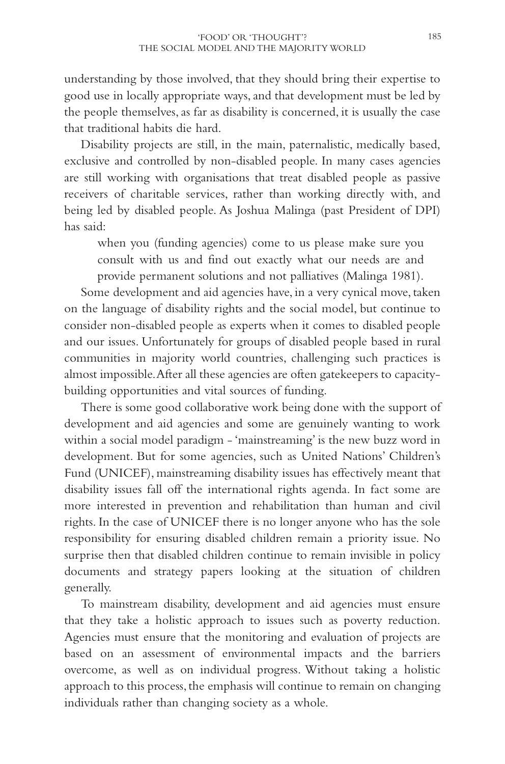understanding by those involved, that they should bring their expertise to good use in locally appropriate ways, and that development must be led by the people themselves, as far as disability is concerned, it is usually the case that traditional habits die hard.

Disability projects are still, in the main, paternalistic, medically based, exclusive and controlled by non-disabled people. In many cases agencies are still working with organisations that treat disabled people as passive receivers of charitable services, rather than working directly with, and being led by disabled people. As Joshua Malinga (past President of DPI) has said:

when you (funding agencies) come to us please make sure you consult with us and find out exactly what our needs are and provide permanent solutions and not palliatives (Malinga 1981).

Some development and aid agencies have, in a very cynical move, taken on the language of disability rights and the social model, but continue to consider non-disabled people as experts when it comes to disabled people and our issues. Unfortunately for groups of disabled people based in rural communities in majority world countries, challenging such practices is almost impossible.After all these agencies are often gatekeepers to capacitybuilding opportunities and vital sources of funding.

There is some good collaborative work being done with the support of development and aid agencies and some are genuinely wanting to work within a social model paradigm - 'mainstreaming' is the new buzz word in development. But for some agencies, such as United Nations' Children's Fund (UNICEF), mainstreaming disability issues has effectively meant that disability issues fall off the international rights agenda. In fact some are more interested in prevention and rehabilitation than human and civil rights. In the case of UNICEF there is no longer anyone who has the sole responsibility for ensuring disabled children remain a priority issue. No surprise then that disabled children continue to remain invisible in policy documents and strategy papers looking at the situation of children generally.

To mainstream disability, development and aid agencies must ensure that they take a holistic approach to issues such as poverty reduction. Agencies must ensure that the monitoring and evaluation of projects are based on an assessment of environmental impacts and the barriers overcome, as well as on individual progress. Without taking a holistic approach to this process, the emphasis will continue to remain on changing individuals rather than changing society as a whole.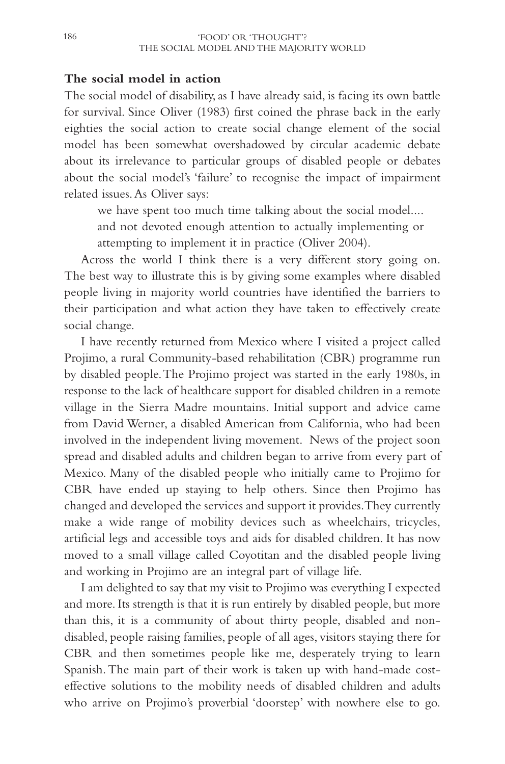# **The social model in action**

The social model of disability, as I have already said, is facing its own battle for survival. Since Oliver (1983) first coined the phrase back in the early eighties the social action to create social change element of the social model has been somewhat overshadowed by circular academic debate about its irrelevance to particular groups of disabled people or debates about the social model's 'failure' to recognise the impact of impairment related issues.As Oliver says:

we have spent too much time talking about the social model....

and not devoted enough attention to actually implementing or attempting to implement it in practice (Oliver 2004).

Across the world I think there is a very different story going on. The best way to illustrate this is by giving some examples where disabled people living in majority world countries have identified the barriers to their participation and what action they have taken to effectively create social change.

I have recently returned from Mexico where I visited a project called Projimo, a rural Community-based rehabilitation (CBR) programme run by disabled people.The Projimo project was started in the early 1980s, in response to the lack of healthcare support for disabled children in a remote village in the Sierra Madre mountains. Initial support and advice came from David Werner, a disabled American from California, who had been involved in the independent living movement. News of the project soon spread and disabled adults and children began to arrive from every part of Mexico. Many of the disabled people who initially came to Projimo for CBR have ended up staying to help others. Since then Projimo has changed and developed the services and support it provides.They currently make a wide range of mobility devices such as wheelchairs, tricycles, artificial legs and accessible toys and aids for disabled children. It has now moved to a small village called Coyotitan and the disabled people living and working in Projimo are an integral part of village life.

I am delighted to say that my visit to Projimo was everything I expected and more. Its strength is that it is run entirely by disabled people, but more than this, it is a community of about thirty people, disabled and nondisabled, people raising families, people of all ages, visitors staying there for CBR and then sometimes people like me, desperately trying to learn Spanish. The main part of their work is taken up with hand-made costeffective solutions to the mobility needs of disabled children and adults who arrive on Projimo's proverbial 'doorstep' with nowhere else to go.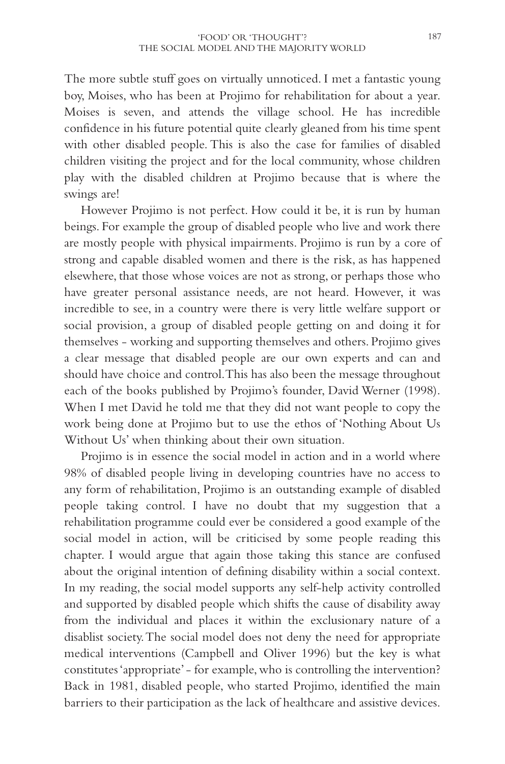The more subtle stuff goes on virtually unnoticed. I met a fantastic young boy, Moises, who has been at Projimo for rehabilitation for about a year. Moises is seven, and attends the village school. He has incredible confidence in his future potential quite clearly gleaned from his time spent with other disabled people. This is also the case for families of disabled children visiting the project and for the local community, whose children play with the disabled children at Projimo because that is where the swings are!

However Projimo is not perfect. How could it be, it is run by human beings. For example the group of disabled people who live and work there are mostly people with physical impairments. Projimo is run by a core of strong and capable disabled women and there is the risk, as has happened elsewhere, that those whose voices are not as strong, or perhaps those who have greater personal assistance needs, are not heard. However, it was incredible to see, in a country were there is very little welfare support or social provision, a group of disabled people getting on and doing it for themselves - working and supporting themselves and others. Projimo gives a clear message that disabled people are our own experts and can and should have choice and control.This has also been the message throughout each of the books published by Projimo's founder, David Werner (1998). When I met David he told me that they did not want people to copy the work being done at Projimo but to use the ethos of 'Nothing About Us Without Us' when thinking about their own situation.

Projimo is in essence the social model in action and in a world where 98% of disabled people living in developing countries have no access to any form of rehabilitation, Projimo is an outstanding example of disabled people taking control. I have no doubt that my suggestion that a rehabilitation programme could ever be considered a good example of the social model in action, will be criticised by some people reading this chapter. I would argue that again those taking this stance are confused about the original intention of defining disability within a social context. In my reading, the social model supports any self-help activity controlled and supported by disabled people which shifts the cause of disability away from the individual and places it within the exclusionary nature of a disablist society.The social model does not deny the need for appropriate medical interventions (Campbell and Oliver 1996) but the key is what constitutes 'appropriate' - for example, who is controlling the intervention? Back in 1981, disabled people, who started Projimo, identified the main barriers to their participation as the lack of healthcare and assistive devices.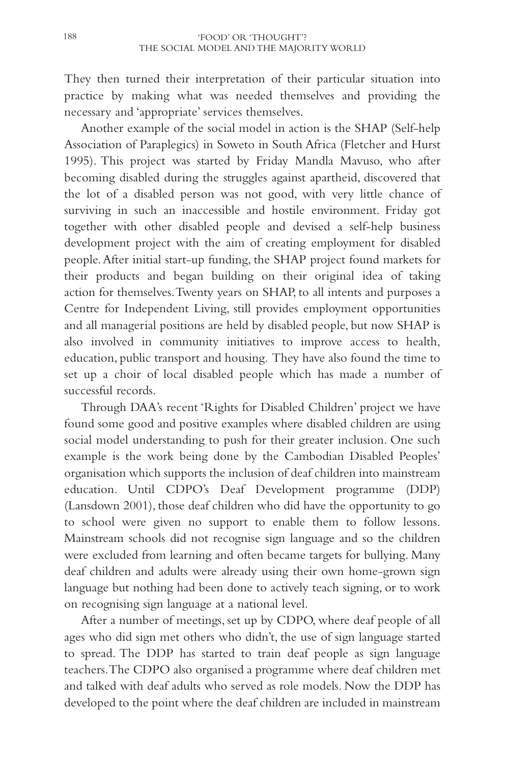They then turned their interpretation of their particular situation into practice by making what was needed themselves and providing the necessary and 'appropriate' services themselves.

Another example of the social model in action is the SHAP (Self-help Association of Paraplegics) in Soweto in South Africa (Fletcher and Hurst 1995). This project was started by Friday Mandla Mavuso, who after becoming disabled during the struggles against apartheid, discovered that the lot of a disabled person was not good, with very little chance of surviving in such an inaccessible and hostile environment. Friday got together with other disabled people and devised a self-help business development project with the aim of creating employment for disabled people.After initial start-up funding, the SHAP project found markets for their products and began building on their original idea of taking action for themselves.Twenty years on SHAP, to all intents and purposes a Centre for Independent Living, still provides employment opportunities and all managerial positions are held by disabled people, but now SHAP is also involved in community initiatives to improve access to health, education, public transport and housing. They have also found the time to set up a choir of local disabled people which has made a number of successful records.

Through DAA's recent 'Rights for Disabled Children' project we have found some good and positive examples where disabled children are using social model understanding to push for their greater inclusion. One such example is the work being done by the Cambodian Disabled Peoples' organisation which supports the inclusion of deaf children into mainstream education. Until CDPO's Deaf Development programme (DDP) (Lansdown 2001), those deaf children who did have the opportunity to go to school were given no support to enable them to follow lessons. Mainstream schools did not recognise sign language and so the children were excluded from learning and often became targets for bullying. Many deaf children and adults were already using their own home-grown sign language but nothing had been done to actively teach signing, or to work on recognising sign language at a national level.

After a number of meetings, set up by CDPO, where deaf people of all ages who did sign met others who didn't, the use of sign language started to spread. The DDP has started to train deaf people as sign language teachers.The CDPO also organised a programme where deaf children met and talked with deaf adults who served as role models. Now the DDP has developed to the point where the deaf children are included in mainstream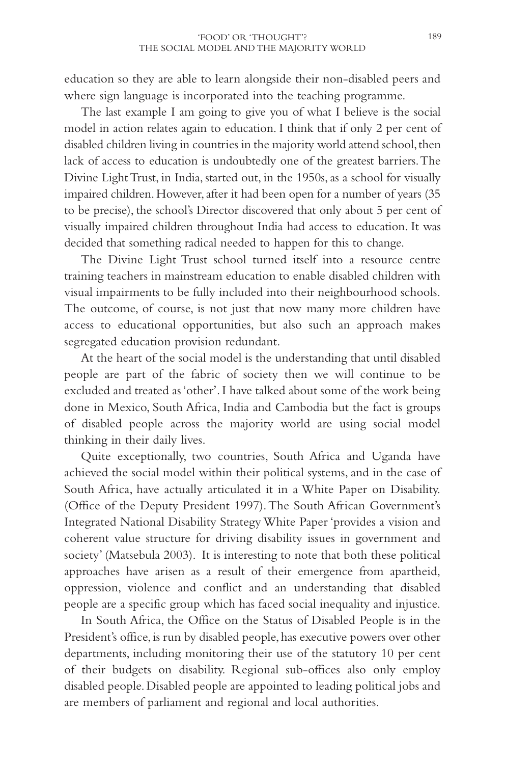education so they are able to learn alongside their non-disabled peers and where sign language is incorporated into the teaching programme.

The last example I am going to give you of what I believe is the social model in action relates again to education. I think that if only 2 per cent of disabled children living in countries in the majority world attend school, then lack of access to education is undoubtedly one of the greatest barriers.The Divine Light Trust, in India, started out, in the 1950s, as a school for visually impaired children. However, after it had been open for a number of years (35 to be precise), the school's Director discovered that only about 5 per cent of visually impaired children throughout India had access to education. It was decided that something radical needed to happen for this to change.

The Divine Light Trust school turned itself into a resource centre training teachers in mainstream education to enable disabled children with visual impairments to be fully included into their neighbourhood schools. The outcome, of course, is not just that now many more children have access to educational opportunities, but also such an approach makes segregated education provision redundant.

At the heart of the social model is the understanding that until disabled people are part of the fabric of society then we will continue to be excluded and treated as 'other'. I have talked about some of the work being done in Mexico, South Africa, India and Cambodia but the fact is groups of disabled people across the majority world are using social model thinking in their daily lives.

Quite exceptionally, two countries, South Africa and Uganda have achieved the social model within their political systems, and in the case of South Africa, have actually articulated it in a White Paper on Disability. (Office of the Deputy President 1997).The South African Government's Integrated National Disability Strategy White Paper 'provides a vision and coherent value structure for driving disability issues in government and society' (Matsebula 2003). It is interesting to note that both these political approaches have arisen as a result of their emergence from apartheid, oppression, violence and conflict and an understanding that disabled people are a specific group which has faced social inequality and injustice.

In South Africa, the Office on the Status of Disabled People is in the President's office, is run by disabled people, has executive powers over other departments, including monitoring their use of the statutory 10 per cent of their budgets on disability. Regional sub-offices also only employ disabled people. Disabled people are appointed to leading political jobs and are members of parliament and regional and local authorities.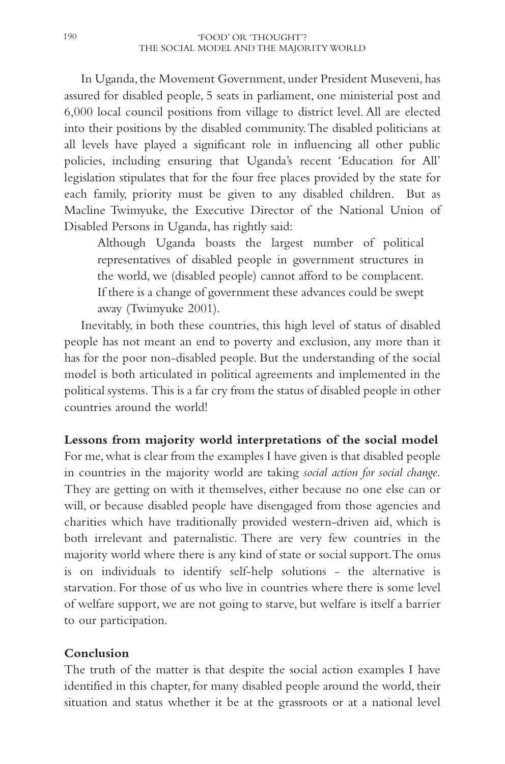In Uganda, the Movement Government, under President Museveni, has assured for disabled people, 5 seats in parliament, one ministerial post and 6,000 local council positions from village to district level. All are elected into their positions by the disabled community.The disabled politicians at all levels have played a significant role in influencing all other public policies, including ensuring that Uganda's recent 'Education for All' legislation stipulates that for the four free places provided by the state for each family, priority must be given to any disabled children. But as Macline Twimyuke, the Executive Director of the National Union of Disabled Persons in Uganda, has rightly said:

Although Uganda boasts the largest number of political representatives of disabled people in government structures in the world, we (disabled people) cannot afford to be complacent. If there is a change of government these advances could be swept away (Twimyuke 2001).

Inevitably, in both these countries, this high level of status of disabled people has not meant an end to poverty and exclusion, any more than it has for the poor non-disabled people. But the understanding of the social model is both articulated in political agreements and implemented in the political systems. This is a far cry from the status of disabled people in other countries around the world!

# **Lessons from majority world interpretations of the social model**

For me, what is clear from the examples I have given is that disabled people in countries in the majority world are taking *social action for social change*. They are getting on with it themselves, either because no one else can or will, or because disabled people have disengaged from those agencies and charities which have traditionally provided western-driven aid, which is both irrelevant and paternalistic. There are very few countries in the majority world where there is any kind of state or social support.The onus is on individuals to identify self-help solutions - the alternative is starvation. For those of us who live in countries where there is some level of welfare support, we are not going to starve, but welfare is itself a barrier to our participation.

#### **Conclusion**

The truth of the matter is that despite the social action examples I have identified in this chapter, for many disabled people around the world, their situation and status whether it be at the grassroots or at a national level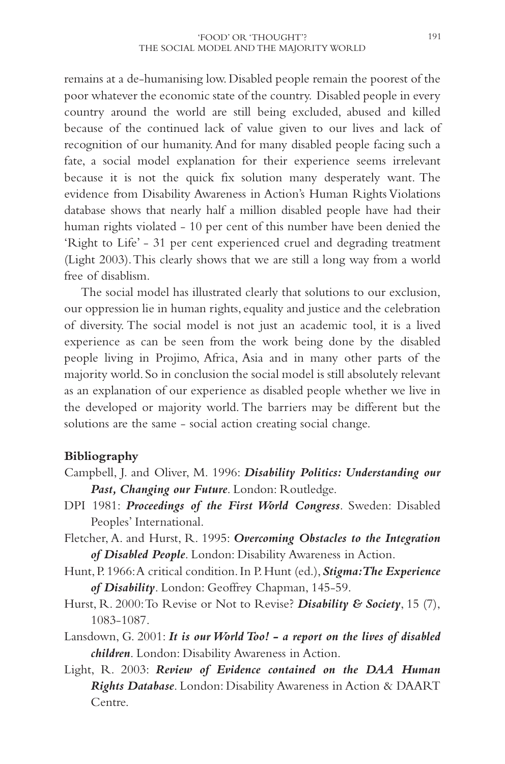remains at a de-humanising low. Disabled people remain the poorest of the poor whatever the economic state of the country. Disabled people in every country around the world are still being excluded, abused and killed because of the continued lack of value given to our lives and lack of recognition of our humanity.And for many disabled people facing such a fate, a social model explanation for their experience seems irrelevant because it is not the quick fix solution many desperately want. The evidence from Disability Awareness in Action's Human Rights Violations database shows that nearly half a million disabled people have had their human rights violated - 10 per cent of this number have been denied the 'Right to Life' - 31 per cent experienced cruel and degrading treatment (Light 2003).This clearly shows that we are still a long way from a world free of disablism.

The social model has illustrated clearly that solutions to our exclusion, our oppression lie in human rights, equality and justice and the celebration of diversity. The social model is not just an academic tool, it is a lived experience as can be seen from the work being done by the disabled people living in Projimo, Africa, Asia and in many other parts of the majority world. So in conclusion the social model is still absolutely relevant as an explanation of our experience as disabled people whether we live in the developed or majority world. The barriers may be different but the solutions are the same - social action creating social change.

# **Bibliography**

- Campbell, J. and Oliver, M. 1996: *Disability Politics: Understanding our Past, Changing our Future*. London: Routledge.
- DPI 1981: *Proceedings of the First World Congress*. Sweden: Disabled Peoples' International.
- Fletcher, A. and Hurst, R. 1995: *Overcoming Obstacles to the Integration of Disabled People*. London: Disability Awareness in Action.
- Hunt,P.1966:A critical condition.In P.Hunt (ed.),*Stigma:The Experience of Disability*. London: Geoffrey Chapman, 145-59.
- Hurst, R. 2000:To Revise or Not to Revise? *Disability & Society*, 15 (7), 1083-1087.
- Lansdown, G. 2001: *It is our World Too! a report on the lives of disabled children*. London: Disability Awareness in Action.
- Light, R. 2003: *Review of Evidence contained on the DAA Human Rights Database*. London: Disability Awareness in Action & DAART Centre.